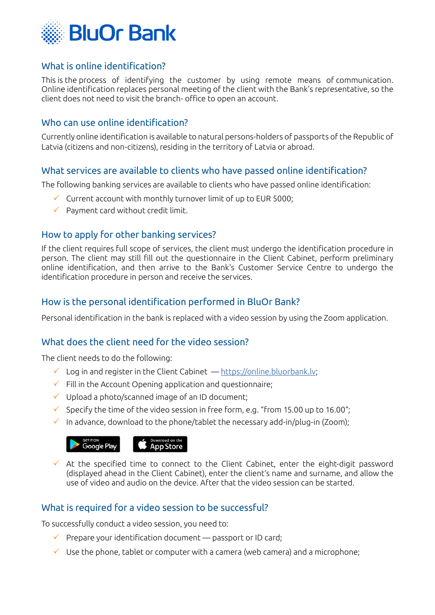

## What is online identification?

This is the process of identifying the customer by using remote means of communication. Online identification replaces personal meeting of the client with the Bank's representative, so the client does not need to visit the branch- office to open an account.

### Who can use online identification?

Currently online identification is available to natural persons-holders of passports of the Republic of Latvia (citizens and non-citizens), residing in the territory of Latvia or abroad.

## What services are available to clients who have passed online identification?

The following banking services are available to clients who have passed online identification:

- $\checkmark$  Current account with monthly turnover limit of up to EUR 5000;
- $\checkmark$  Payment card without credit limit.

## How to apply for other banking services?

If the client requires full scope of services, the client must undergo the identification procedure in person. The client may still fill out the questionnaire in the Client Cabinet, perform preliminary online identification, and then arrive to the Bank's Customer Service Centre to undergo the identification procedure in person and receive the services.

## How is the personal identification performed in BluOr Bank?

Personal identification in the bank is replaced with a video session by using the Zoom application.

#### What does the client need for the video session?

The client needs to do the following:

- $\checkmark$  Log in and register in the Client Cabinet [https://online.bluorbank.lv](https://online.bluorbank.lv/app/register?execution=e1s1);
- $\checkmark$  Fill in the Account Opening application and questionnaire;
- $\checkmark$  Upload a photo/scanned image of an ID document;
- $\checkmark$  Specify the time of the video session in free form, e.g. "from 15.00 up to 16.00";
- $\checkmark$  In advance, download to the phone/tablet the necessary add-in/plug-in (Zoom);



 $\checkmark$  At the specified time to connect to the Client Cabinet, enter the eight-digit password (displayed ahead in the Client Cabinet), enter the client's name and surname, and allow the use of video and audio on the device. After that the video session can be started.

## What is required for a video session to be successful?

To successfully conduct a video session, you need to:

- $\checkmark$  Prepare your identification document passport or ID card;
- $\checkmark$  Use the phone, tablet or computer with a camera (web camera) and a microphone;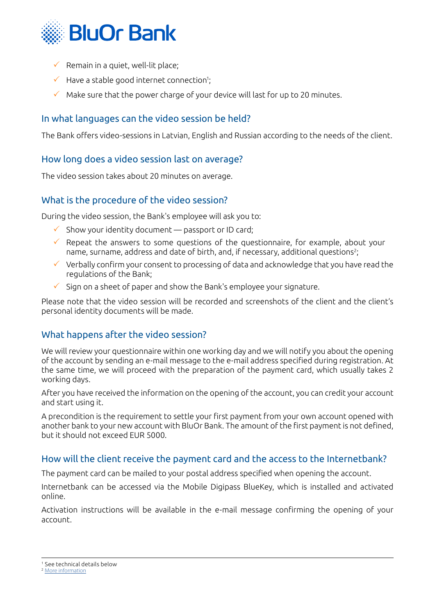

- $\checkmark$  Remain in a quiet, well-lit place;
- $\checkmark$  Have a stable good internet connection<sup>1</sup>;
- $\checkmark$  Make sure that the power charge of your device will last for up to 20 minutes.

## In what languages can the video session be held?

The Bank offers video-sessions in Latvian, English and Russian according to the needs of the client.

#### How long does a video session last on average?

The video session takes about 20 minutes on average.

## What is the procedure of the video session?

During the video session, the Bank's employee will ask you to:

- $\checkmark$  Show your identity document passport or ID card;
- $\checkmark$  Repeat the answers to some questions of the questionnaire, for example, about your name, surname, address and date of birth, and, if necessary, additional questions2;
- $\checkmark$  Verbally confirm your consent to processing of data and acknowledge that you have read the regulations of the Bank;
- 3 Sign on a sheet of paper and show the Bank's employee your signature.

Please note that the video session will be recorded and screenshots of the client and the client's personal identity documents will be made.

## What happens after the video session?

We will review your questionnaire within one working day and we will notify you about the opening of the account by sending an e-mail message to the e-mail address specified during registration. At the same time, we will proceed with the preparation of the payment card, which usually takes 2 working days.

After you have received the information on the opening of the account, you can credit your account and start using it.

A precondition is the requirement to settle your first payment from your own account opened with another bank to your new account with BluOr Bank. The amount of the first payment is not defined, but it should not exceed EUR 5000.

#### How will the client receive the payment card and the access to the Internetbank?

The payment card can be mailed to your postal address specified when opening the account.

Internetbank can be accessed via the Mobile Digipass BlueKey, which is installed and activated online.

Activation instructions will be available in the e-mail message confirming the opening of your account.

<sup>1</sup> See technical details below

<sup>&</sup>lt;sup>2</sup> [More information](https://www.financelatvia.eu/wp-content/uploads/2018/05/K%c4%81p%c4%93c-bankas-jaut%c4%81_-1.pdf)